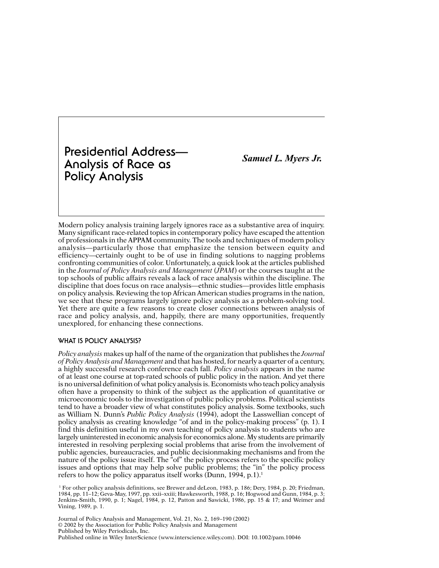# *Samuel L. Myers Jr.* **Presidential Address— Analysis of Race as Policy Analysis**

Modern policy analysis training largely ignores race as a substantive area of inquiry. Many significant race-related topics in contemporary policy have escaped the attention of professionals in the APPAM community. The tools and techniques of modern policy analysis—particularly those that emphasize the tension between equity and efficiency—certainly ought to be of use in finding solutions to nagging problems confronting communities of color. Unfortunately, a quick look at the articles published in the *Journal of Policy Analysis and Management* (*JPAM*) or the courses taught at the top schools of public affairs reveals a lack of race analysis within the discipline. The discipline that does focus on race analysis—ethnic studies—provides little emphasis on policy analysis. Reviewing the top African American studies programs in the nation, we see that these programs largely ignore policy analysis as a problem-solving tool. Yet there are quite a few reasons to create closer connections between analysis of race and policy analysis, and, happily, there are many opportunities, frequently unexplored, for enhancing these connections.

### **WHAT IS POLICY ANALYSIS?**

*Policy analysis* makes up half of the name of the organization that publishes the *Journal of Policy Analysis and Management* and that has hosted, for nearly a quarter of a century, a highly successful research conference each fall. *Policy analysis* appears in the name of at least one course at top-rated schools of public policy in the nation. And yet there is no universal definition of what policy analysis is. Economists who teach policy analysis often have a propensity to think of the subject as the application of quantitative or microeconomic tools to the investigation of public policy problems. Political scientists tend to have a broader view of what constitutes policy analysis. Some textbooks, such as William N. Dunn's *Public Policy Analysis* (1994), adopt the Lasswellian concept of policy analysis as creating knowledge "of and in the policy-making process" (p. 1). I find this definition useful in my own teaching of policy analysis to students who are largely uninterested in economic analysis for economics alone. My students are primarily interested in resolving perplexing social problems that arise from the involvement of public agencies, bureaucracies, and public decisionmaking mechanisms and from the nature of the policy issue itself. The "of" the policy process refers to the specific policy issues and options that may help solve public problems; the "in" the policy process refers to how the policy apparatus itself works (Dunn, 1994, p.1).<sup>1</sup>

1 For other policy analysis definitions, see Brewer and deLeon, 1983, p. 186; Dery, 1984, p. 20; Friedman, 1984, pp. 11–12; Geva-May, 1997, pp. xxii–xxiii; Hawkesworth, 1988, p. 16; Hogwood and Gunn, 1984, p. 3; Jenkins-Smith, 1990, p. 1; Nagel, 1984, p. 12, Patton and Sawicki, 1986, pp. 15 & 17; and Weimer and Vining, 1989, p. 1.

Journal of Policy Analysis and Management, Vol. 21, No. 2, 169–190 (2002) © 2002 by the Association for Public Policy Analysis and Management Published by Wiley Periodicals, Inc. Published online in Wiley InterScience (www.interscience.wiley.com). DOI: 10.1002/pam.10046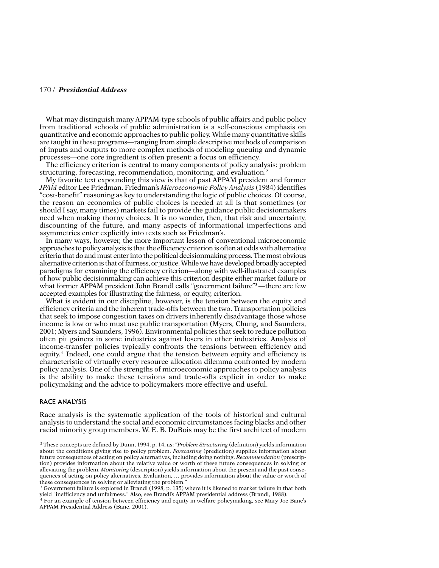What may distinguish many APPAM-type schools of public affairs and public policy from traditional schools of public administration is a self-conscious emphasis on quantitative and economic approaches to public policy. While many quantitative skills are taught in these programs—ranging from simple descriptive methods of comparison of inputs and outputs to more complex methods of modeling queuing and dynamic processes—one core ingredient is often present: a focus on efficiency.

The efficiency criterion is central to many components of policy analysis: problem structuring, forecasting, recommendation, monitoring, and evaluation.<sup>2</sup>

My favorite text expounding this view is that of past APPAM president and former *JPAM* editor Lee Friedman. Friedman's *Microeconomic Policy Analysis* (1984) identifies "cost-benefit" reasoning as key to understanding the logic of public choices. Of course, the reason an economics of public choices is needed at all is that sometimes (or should I say, many times) markets fail to provide the guidance public decisionmakers need when making thorny choices. It is no wonder, then, that risk and uncertainty, discounting of the future, and many aspects of informational imperfections and asymmetries enter explicitly into texts such as Friedman's.

In many ways, however, the more important lesson of conventional microeconomic approaches to policy analysis is that the efficiency criterion is often at odds with alternative criteria that do and must enter into the political decisionmaking process. The most obvious alternative criterion is that of fairness, or justice. While we have developed broadly accepted paradigms for examining the efficiency criterion—along with well-illustrated examples of how public decisionmaking can achieve this criterion despite either market failure or what former APPAM president John Brandl calls "government failure"<sup>3</sup>—there are few accepted examples for illustrating the fairness, or equity, criterion.

What is evident in our discipline, however, is the tension between the equity and efficiency criteria and the inherent trade-offs between the two. Transportation policies that seek to impose congestion taxes on drivers inherently disadvantage those whose income is low or who must use public transportation (Myers, Chung, and Saunders, 2001; Myers and Saunders, 1996). Environmental policies that seek to reduce pollution often pit gainers in some industries against losers in other industries. Analysis of income-transfer policies typically confronts the tensions between efficiency and equity.4 Indeed, one could argue that the tension between equity and efficiency is characteristic of virtually every resource allocation dilemma confronted by modern policy analysis. One of the strengths of microeconomic approaches to policy analysis is the ability to make these tensions and trade-offs explicit in order to make policymaking and the advice to policymakers more effective and useful.

#### **RACE ANALYSIS**

Race analysis is the systematic application of the tools of historical and cultural analysis to understand the social and economic circumstances facing blacks and other racial minority group members. W. E. B. DuBois may be the first architect of modern

<sup>2</sup> These concepts are defined by Dunn, 1994, p. 14, as: "*Problem Structuring* (definition) yields information about the conditions giving rise to policy problem. *Forecasting* (prediction) supplies information about future consequences of acting on policy alternatives, including doing nothing. *Recommendation* (prescription) provides information about the relative value or worth of these future consequences in solving or alleviating the problem. *Monitoring* (description) yields information about the present and the past consequences of acting on policy alternatives. Evaluation, … provides information about the value or worth of these consequences in solving or alleviating the problem."

<sup>&</sup>lt;sup>3</sup> Government failure is explored in Brandl (1998, p. 135) where it is likened to market failure in that both yield "inefficiency and unfairness." Also, see Brandl's APPAM presidential address (Brandl, 1988).

<sup>&</sup>lt;sup>4</sup> For an example of tension between efficiency and equity in welfare policymaking, see Mary Joe Bane's APPAM Presidential Address (Bane, 2001).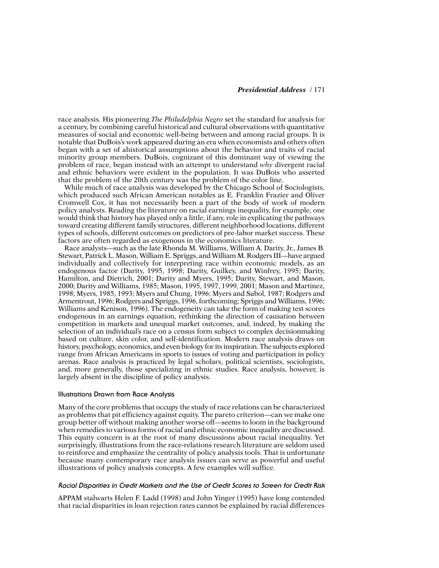race analysis. His pioneering *The Philadelphia Negro* set the standard for analysis for a century, by combining careful historical and cultural observations with quantitative measures of social and economic well-being between and among racial groups. It is notable that DuBois's work appeared during an era when economists and others often began with a set of ahistorical assumptions about the behavior and traits of racial minority group members. DuBois, cognizant of this dominant way of viewing the problem of race, began instead with an attempt to understand *why* divergent racial and ethnic behaviors were evident in the population. It was DuBois who asserted that the problem of the 20th century was the problem of the color line.

While much of race analysis was developed by the Chicago School of Sociologists, which produced such African American notables as E. Franklin Frazier and Oliver Cromwell Cox, it has not necessarily been a part of the body of work of modern policy analysts. Reading the literature on racial earnings inequality, for example, one would think that history has played only a little, if any, role in explicating the pathways toward creating different family structures, different neighborhood locations, different types of schools, different outcomes on predictors of pre-labor market success. These factors are often regarded as exogenous in the economics literature.

Race analysts—such as the late Rhonda M. Williams, William A. Darity, Jr., James B. Stewart, Patrick L. Mason, William E. Spriggs, and William M. Rodgers III—have argued individually and collectively for interpreting race within economic models, as an endogenous factor (Darity, 1995, 1998; Darity, Guilkey, and Winfrey, 1995; Darity, Hamilton, and Dietrich, 2001; Darity and Myers, 1995; Darity, Stewart, and Mason, 2000; Darity and Williams, 1985; Mason, 1995, 1997, 1999, 2001; Mason and Martinez, 1998; Myers, 1985, 1993; Myers and Chung, 1996; Myers and Sabol, 1987; Rodgers and Armentrout, 1996; Rodgers and Spriggs, 1996, forthcoming; Spriggs and Williams, 1996; Williams and Kenison, 1996). The endogeneity can take the form of making test scores endogenous in an earnings equation, rethinking the direction of causation between competition in markets and unequal market outcomes, and, indeed, by making the selection of an individual's race on a census form subject to complex decisionmaking based on culture, skin color, and self-identification. Modern race analysis draws on history, psychology, economics, and even biology for its inspiration. The subjects explored range from African Americans in sports to issues of voting and participation in policy arenas. Race analysis is practiced by legal scholars, political scientists, sociologists, and, more generally, those specializing in ethnic studies. Race analysis, however, is largely absent in the discipline of policy analysis.

#### **Illustrations Drawn from Race Analysis**

Many of the core problems that occupy the study of race relations can be characterized as problems that pit efficiency against equity. The pareto criterion—can we make one group better off without making another worse off—seems to loom in the background when remedies to various forms of racial and ethnic economic inequality are discussed. This equity concern is at the root of many discussions about racial inequality. Yet surprisingly, illustrations from the race-relations research literature are seldom used to reinforce and emphasize the centrality of policy analysis tools. That is unfortunate because many contemporary race analysis issues can serve as powerful and useful illustrations of policy analysis concepts. A few examples will suffice.

#### **Racial Disparities in Credit Markets and the Use of Credit Scores to Screen for Credit Risk**

APPAM stalwarts Helen F. Ladd (1998) and John Yinger (1995) have long contended that racial disparities in loan rejection rates cannot be explained by racial differences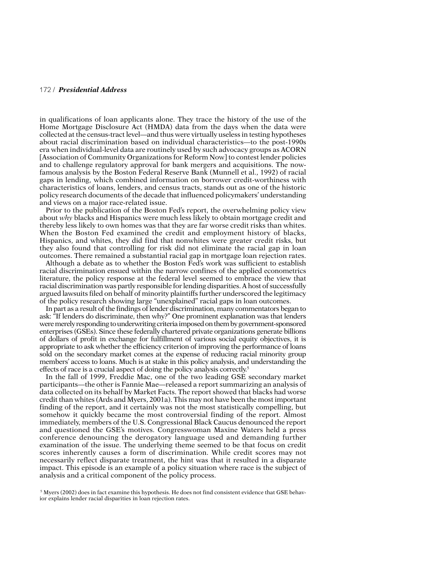in qualifications of loan applicants alone. They trace the history of the use of the Home Mortgage Disclosure Act (HMDA) data from the days when the data were collected at the census-tract level—and thus were virtually useless in testing hypotheses about racial discrimination based on individual characteristics—to the post-1990s era when individual-level data are routinely used by such advocacy groups as ACORN [Association of Community Organizations for Reform Now] to contest lender policies and to challenge regulatory approval for bank mergers and acquisitions. The nowfamous analysis by the Boston Federal Reserve Bank (Munnell et al., 1992) of racial gaps in lending, which combined information on borrower credit-worthiness with characteristics of loans, lenders, and census tracts, stands out as one of the historic policy research documents of the decade that influenced policymakers' understanding and views on a major race-related issue.

Prior to the publication of the Boston Fed's report, the overwhelming policy view about *why* blacks and Hispanics were much less likely to obtain mortgage credit and thereby less likely to own homes was that they are far worse credit risks than whites. When the Boston Fed examined the credit and employment history of blacks, Hispanics, and whites, they did find that nonwhites were greater credit risks, but they also found that controlling for risk did not eliminate the racial gap in loan outcomes. There remained a substantial racial gap in mortgage loan rejection rates.

Although a debate as to whether the Boston Fed's work was sufficient to establish racial discrimination ensued within the narrow confines of the applied econometrics literature, the policy response at the federal level seemed to embrace the view that racial discrimination was partly responsible for lending disparities. A host of successfully argued lawsuits filed on behalf of minority plaintiffs further underscored the legitimacy of the policy research showing large "unexplained" racial gaps in loan outcomes.

In part as a result of the findings of lender discrimination, many commentators began to ask: "If lenders do discriminate, then why?" One prominent explanation was that lenders were merely responding to underwriting criteria imposed on them by government-sponsored enterprises (GSEs). Since these federally chartered private organizations generate billions of dollars of profit in exchange for fulfillment of various social equity objectives, it is appropriate to ask whether the efficiency criterion of improving the performance of loans sold on the secondary market comes at the expense of reducing racial minority group members' access to loans. Much is at stake in this policy analysis, and understanding the effects of race is a crucial aspect of doing the policy analysis correctly.<sup>5</sup>

In the fall of 1999, Freddie Mac, one of the two leading GSE secondary market participants—the other is Fannie Mae—released a report summarizing an analysis of data collected on its behalf by Market Facts. The report showed that blacks had worse credit than whites (Ards and Myers, 2001a). This may not have been the most important finding of the report, and it certainly was not the most statistically compelling, but somehow it quickly became the most controversial finding of the report. Almost immediately, members of the U.S. Congressional Black Caucus denounced the report and questioned the GSE's motives. Congresswoman Maxine Waters held a press conference denouncing the derogatory language used and demanding further examination of the issue. The underlying theme seemed to be that focus on credit scores inherently causes a form of discrimination. While credit scores may not necessarily reflect disparate treatment, the hint was that it resulted in a disparate impact. This episode is an example of a policy situation where race is the subject of analysis and a critical component of the policy process.

5 Myers (2002) does in fact examine this hypothesis. He does not find consistent evidence that GSE behavior explains lender racial disparities in loan rejection rates.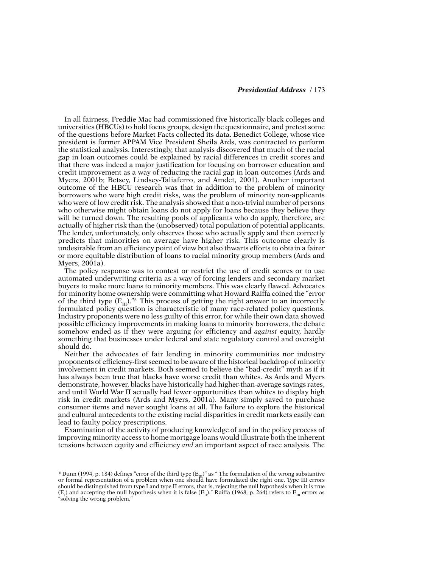In all fairness, Freddie Mac had commissioned five historically black colleges and universities (HBCUs) to hold focus groups, design the questionnaire, and pretest some of the questions before Market Facts collected its data. Benedict College, whose vice president is former APPAM Vice President Sheila Ards, was contracted to perform the statistical analysis. Interestingly, that analysis discovered that much of the racial gap in loan outcomes could be explained by racial differences in credit scores and that there was indeed a major justification for focusing on borrower education and credit improvement as a way of reducing the racial gap in loan outcomes (Ards and Myers, 2001b; Betsey, Lindsey-Taliaferro, and Amdet, 2001). Another important outcome of the HBCU research was that in addition to the problem of minority borrowers who were high credit risks, was the problem of minority non-applicants who were of low credit risk. The analysis showed that a non-trivial number of persons who otherwise might obtain loans do not apply for loans because they believe they will be turned down. The resulting pools of applicants who do apply, therefore, are actually of higher risk than the (unobserved) total population of potential applicants. The lender, unfortunately, only observes those who actually apply and then correctly predicts that minorities on average have higher risk. This outcome clearly is undesirable from an efficiency point of view but also thwarts efforts to obtain a fairer or more equitable distribution of loans to racial minority group members (Ards and Myers, 2001a).

The policy response was to contest or restrict the use of credit scores or to use automated underwriting criteria as a way of forcing lenders and secondary market buyers to make more loans to minority members. This was clearly flawed. Advocates for minority home ownership were committing what Howard Raiffa coined the "error of the third type  $(E_{III})$ ."<sup>6</sup> This process of getting the right answer to an incorrectly formulated policy question is characteristic of many race-related policy questions. Industry proponents were no less guilty of this error, for while their own data showed possible efficiency improvements in making loans to minority borrowers, the debate somehow ended as if they were arguing *for* efficiency and *against* equity, hardly something that businesses under federal and state regulatory control and oversight should do.

Neither the advocates of fair lending in minority communities nor industry proponents of efficiency-first seemed to be aware of the historical backdrop of minority involvement in credit markets. Both seemed to believe the "bad-credit" myth as if it has always been true that blacks have worse credit than whites. As Ards and Myers demonstrate, however, blacks have historically had higher-than-average savings rates, and until World War II actually had fewer opportunities than whites to display high risk in credit markets (Ards and Myers, 2001a). Many simply saved to purchase consumer items and never sought loans at all. The failure to explore the historical and cultural antecedents to the existing racial disparities in credit markets easily can lead to faulty policy prescriptions.

Examination of the activity of producing knowledge of and in the policy process of improving minority access to home mortgage loans would illustrate both the inherent tensions between equity and efficiency *and* an important aspect of race analysis. The

<sup>&</sup>lt;sup>6</sup> Dunn (1994, p. 184) defines "error of the third type ( $E_{III}$ )" as " The formulation of the wrong substantive or formal representation of a problem when one should have formulated the right one. Type III errors should be distinguished from type I and type II errors, that is, rejecting the null hypothesis when it is true  $(E_{\rm i})$  and accepting the null hypothesis when it is false  $(E_{\rm ii})$ ." Raiffa (1968, p. 264) refers to  $E_{\rm iii}$  errors as "solving the wrong problem."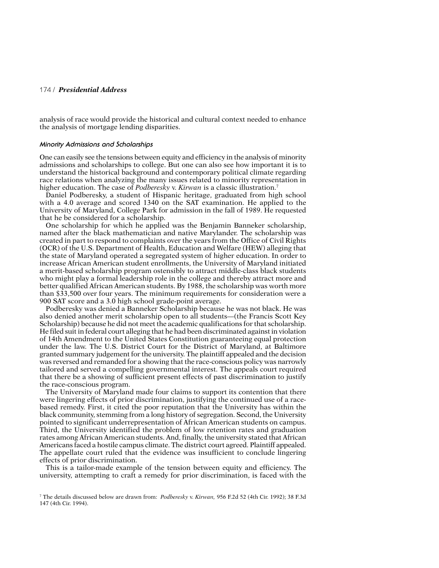analysis of race would provide the historical and cultural context needed to enhance the analysis of mortgage lending disparities.

#### **Minority Admissions and Scholarships**

One can easily see the tensions between equity and efficiency in the analysis of minority admissions and scholarships to college. But one can also see how important it is to understand the historical background and contemporary political climate regarding race relations when analyzing the many issues related to minority representation in higher education. The case of *Podberesky* v. *Kirwan* is a classic illustration.7

Daniel Podberesky, a student of Hispanic heritage, graduated from high school with a 4.0 average and scored 1340 on the SAT examination. He applied to the University of Maryland, College Park for admission in the fall of 1989. He requested that he be considered for a scholarship.

One scholarship for which he applied was the Benjamin Banneker scholarship, named after the black mathematician and native Marylander. The scholarship was created in part to respond to complaints over the years from the Office of Civil Rights (OCR) of the U.S. Department of Health, Education and Welfare (HEW) alleging that the state of Maryland operated a segregated system of higher education. In order to increase African American student enrollments, the University of Maryland initiated a merit-based scholarship program ostensibly to attract middle-class black students who might play a formal leadership role in the college and thereby attract more and better qualified African American students. By 1988, the scholarship was worth more than \$33,500 over four years. The minimum requirements for consideration were a 900 SAT score and a 3.0 high school grade-point average.

Podberesky was denied a Banneker Scholarship because he was not black. He was also denied another merit scholarship open to all students—(the Francis Scott Key Scholarship) because he did not meet the academic qualifications for that scholarship. He filed suit in federal court alleging that he had been discriminated against in violation of 14th Amendment to the United States Constitution guaranteeing equal protection under the law. The U.S. District Court for the District of Maryland, at Baltimore granted summary judgement for the university. The plaintiff appealed and the decision was reversed and remanded for a showing that the race-conscious policy was narrowly tailored and served a compelling governmental interest. The appeals court required that there be a showing of sufficient present effects of past discrimination to justify the race-conscious program.

The University of Maryland made four claims to support its contention that there were lingering effects of prior discrimination, justifying the continued use of a racebased remedy. First, it cited the poor reputation that the University has within the black community, stemming from a long history of segregation. Second, the University pointed to significant underrepresentation of African American students on campus. Third, the University identified the problem of low retention rates and graduation rates among African American students. And, finally, the university stated that African Americans faced a hostile campus climate. The district court agreed. Plaintiff appealed. The appellate court ruled that the evidence was insufficient to conclude lingering effects of prior discrimination.

This is a tailor-made example of the tension between equity and efficiency. The university, attempting to craft a remedy for prior discrimination, is faced with the

<sup>7</sup> The details discussed below are drawn from: *Podberesky* v. *Kirwan,* 956 F.2d 52 (4th Cir. 1992); 38 F.3d 147 (4th Cir. 1994).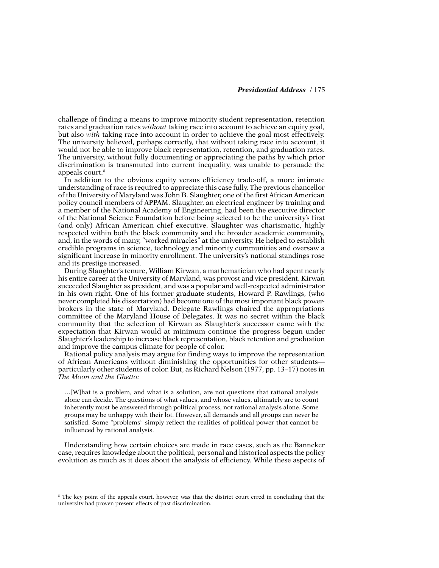challenge of finding a means to improve minority student representation, retention rates and graduation rates *without* taking race into account to achieve an equity goal, but also *with* taking race into account in order to achieve the goal most effectively. The university believed, perhaps correctly, that without taking race into account, it would not be able to improve black representation, retention, and graduation rates. The university, without fully documenting or appreciating the paths by which prior discrimination is transmuted into current inequality, was unable to persuade the appeals court.<sup>8</sup>

In addition to the obvious equity versus efficiency trade-off, a more intimate understanding of race is required to appreciate this case fully. The previous chancellor of the University of Maryland was John B. Slaughter, one of the first African American policy council members of APPAM. Slaughter, an electrical engineer by training and a member of the National Academy of Engineering, had been the executive director of the National Science Foundation before being selected to be the university's first (and only) African American chief executive. Slaughter was charismatic, highly respected within both the black community and the broader academic community, and, in the words of many, "worked miracles" at the university. He helped to establish credible programs in science, technology and minority communities and oversaw a significant increase in minority enrollment. The university's national standings rose and its prestige increased.

During Slaughter's tenure, William Kirwan, a mathematician who had spent nearly his entire career at the University of Maryland, was provost and vice president. Kirwan succeeded Slaughter as president, and was a popular and well-respected administrator in his own right. One of his former graduate students, Howard P. Rawlings, (who never completed his dissertation) had become one of the most important black powerbrokers in the state of Maryland. Delegate Rawlings chaired the appropriations committee of the Maryland House of Delegates. It was no secret within the black community that the selection of Kirwan as Slaughter's successor came with the expectation that Kirwan would at minimum continue the progress begun under Slaughter's leadership to increase black representation, black retention and graduation and improve the campus climate for people of color.

Rational policy analysis may argue for finding ways to improve the representation of African Americans without diminishing the opportunities for other students particularly other students of color. But, as Richard Nelson (1977, pp. 13–17) notes in *The Moon and the Ghetto:*

…[W]hat is a problem, and what is a solution, are not questions that rational analysis alone can decide. The questions of what values, and whose values, ultimately are to count inherently must be answered through political process, not rational analysis alone. Some groups may be unhappy with their lot. However, all demands and all groups can never be satisfied. Some "problems" simply reflect the realities of political power that cannot be influenced by rational analysis.

Understanding how certain choices are made in race cases, such as the Banneker case, requires knowledge about the political, personal and historical aspects the policy evolution as much as it does about the analysis of efficiency. While these aspects of

<sup>8</sup> The key point of the appeals court, however, was that the district court erred in concluding that the university had proven present effects of past discrimination.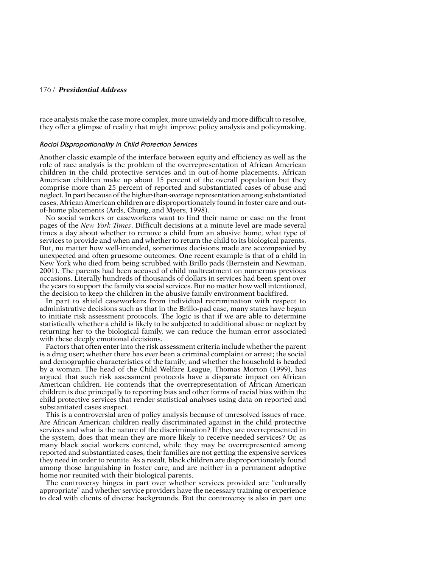race analysis make the case more complex, more unwieldy and more difficult to resolve, they offer a glimpse of reality that might improve policy analysis and policymaking.

#### **Racial Disproportionality in Child Protection Services**

Another classic example of the interface between equity and efficiency as well as the role of race analysis is the problem of the overrepresentation of African American children in the child protective services and in out-of-home placements. African American children make up about 15 percent of the overall population but they comprise more than 25 percent of reported and substantiated cases of abuse and neglect. In part because of the higher-than-average representation among substantiated cases, African American children are disproportionately found in foster care and outof-home placements (Ards, Chung, and Myers, 1998).

No social workers or caseworkers want to find their name or case on the front pages of the *New York Times*. Difficult decisions at a minute level are made several times a day about whether to remove a child from an abusive home, what type of services to provide and when and whether to return the child to its biological parents. But, no matter how well-intended, sometimes decisions made are accompanied by unexpected and often gruesome outcomes. One recent example is that of a child in New York who died from being scrubbed with Brillo pads (Bernstein and Newman, 2001). The parents had been accused of child maltreatment on numerous previous occasions. Literally hundreds of thousands of dollars in services had been spent over the years to support the family via social services. But no matter how well intentioned, the decision to keep the children in the abusive family environment backfired.

In part to shield caseworkers from individual recrimination with respect to administrative decisions such as that in the Brillo-pad case, many states have begun to initiate risk assessment protocols. The logic is that if we are able to determine statistically whether a child is likely to be subjected to additional abuse or neglect by returning her to the biological family, we can reduce the human error associated with these deeply emotional decisions.

Factors that often enter into the risk assessment criteria include whether the parent is a drug user; whether there has ever been a criminal complaint or arrest; the social and demographic characteristics of the family; and whether the household is headed by a woman. The head of the Child Welfare League, Thomas Morton (1999), has argued that such risk assessment protocols have a disparate impact on African American children. He contends that the overrepresentation of African American children is due principally to reporting bias and other forms of racial bias within the child protective services that render statistical analyses using data on reported and substantiated cases suspect.

This is a controversial area of policy analysis because of unresolved issues of race. Are African American children really discriminated against in the child protective services and what is the nature of the discrimination? If they are overrepresented in the system, does that mean they are more likely to receive needed services? Or, as many black social workers contend, while they may be overrepresented among reported and substantiated cases, their families are not getting the expensive services they need in order to reunite. As a result, black children are disproportionately found among those languishing in foster care, and are neither in a permanent adoptive home nor reunited with their biological parents.

The controversy hinges in part over whether services provided are "culturally appropriate" and whether service providers have the necessary training or experience to deal with clients of diverse backgrounds. But the controversy is also in part one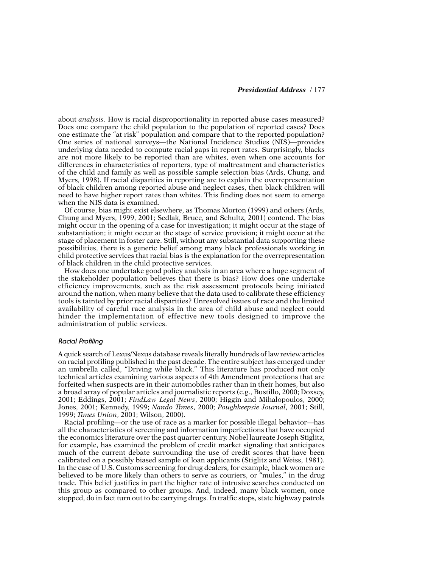about *analysis*. How is racial disproportionality in reported abuse cases measured? Does one compare the child population to the population of reported cases? Does one estimate the "at risk" population and compare that to the reported population? One series of national surveys—the National Incidence Studies (NIS)—provides underlying data needed to compute racial gaps in report rates. Surprisingly, blacks are not more likely to be reported than are whites, even when one accounts for differences in characteristics of reporters, type of maltreatment and characteristics of the child and family as well as possible sample selection bias (Ards, Chung, and Myers, 1998). If racial disparities in reporting are to explain the overrepresentation of black children among reported abuse and neglect cases, then black children will need to have higher report rates than whites. This finding does not seem to emerge when the NIS data is examined.

Of course, bias might exist elsewhere, as Thomas Morton (1999) and others (Ards, Chung and Myers, 1999, 2001; Sedlak, Bruce, and Schultz, 2001) contend. The bias might occur in the opening of a case for investigation; it might occur at the stage of substantiation; it might occur at the stage of service provision; it might occur at the stage of placement in foster care. Still, without any substantial data supporting these possibilities, there is a generic belief among many black professionals working in child protective services that racial bias is the explanation for the overrepresentation of black children in the child protective services.

How does one undertake good policy analysis in an area where a huge segment of the stakeholder population believes that there is bias? How does one undertake efficiency improvements, such as the risk assessment protocols being initiated around the nation, when many believe that the data used to calibrate these efficiency tools is tainted by prior racial disparities? Unresolved issues of race and the limited availability of careful race analysis in the area of child abuse and neglect could hinder the implementation of effective new tools designed to improve the administration of public services.

#### **Racial Profiling**

A quick search of Lexus/Nexus database reveals literally hundreds of law review articles on racial profiling published in the past decade. The entire subject has emerged under an umbrella called, "Driving while black." This literature has produced not only technical articles examining various aspects of 4th Amendment protections that are forfeited when suspects are in their automobiles rather than in their homes, but also a broad array of popular articles and journalistic reports (e.g., Bustillo, 2000; Doxsey, 2001; Eddings, 2001; *FindLaw Legal News*, 2000; Higgin and Mihalopoulos, 2000; Jones, 2001; Kennedy, 1999; *Nando Times*, 2000; *Poughkeepsie Journal*, 2001; Still, 1999; *Times Union*, 2001; Wilson, 2000).

Racial profiling—or the use of race as a marker for possible illegal behavior—has all the characteristics of screening and information imperfections that have occupied the economics literature over the past quarter century. Nobel laureate Joseph Stiglitz, for example, has examined the problem of credit market signaling that anticipates much of the current debate surrounding the use of credit scores that have been calibrated on a possibly biased sample of loan applicants (Stiglitz and Weiss, 1981). In the case of U.S. Customs screening for drug dealers, for example, black women are believed to be more likely than others to serve as couriers, or "mules," in the drug trade. This belief justifies in part the higher rate of intrusive searches conducted on this group as compared to other groups. And, indeed, many black women, once stopped, do in fact turn out to be carrying drugs. In traffic stops, state highway patrols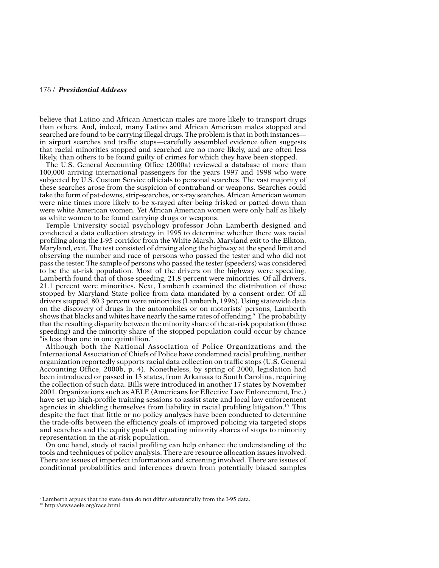believe that Latino and African American males are more likely to transport drugs than others. And, indeed, many Latino and African American males stopped and searched are found to be carrying illegal drugs. The problem is that in both instances in airport searches and traffic stops—carefully assembled evidence often suggests that racial minorities stopped and searched are no more likely, and are often less likely, than others to be found guilty of crimes for which they have been stopped.

The U.S. General Accounting Office (2000a) reviewed a database of more than 100,000 arriving international passengers for the years 1997 and 1998 who were subjected by U.S. Custom Service officials to personal searches. The vast majority of these searches arose from the suspicion of contraband or weapons. Searches could take the form of pat-downs, strip-searches, or x-ray searches. African American women were nine times more likely to be x-rayed after being frisked or patted down than were white American women. Yet African American women were only half as likely as white women to be found carrying drugs or weapons.

Temple University social psychology professor John Lamberth designed and conducted a data collection strategy in 1995 to determine whether there was racial profiling along the I-95 corridor from the White Marsh, Maryland exit to the Elkton, Maryland, exit. The test consisted of driving along the highway at the speed limit and observing the number and race of persons who passed the tester and who did not pass the tester. The sample of persons who passed the tester (speeders) was considered to be the at-risk population. Most of the drivers on the highway were speeding. Lamberth found that of those speeding, 21.8 percent were minorities. Of all drivers, 21.1 percent were minorities. Next, Lamberth examined the distribution of those stopped by Maryland State police from data mandated by a consent order. Of all drivers stopped, 80.3 percent were minorities (Lamberth, 1996). Using statewide data on the discovery of drugs in the automobiles or on motorists' persons, Lamberth shows that blacks and whites have nearly the same rates of offending.<sup>9</sup> The probability that the resulting disparity between the minority share of the at-risk population (those speeding) and the minority share of the stopped population could occur by chance "is less than one in one quintillion."

Although both the National Association of Police Organizations and the International Association of Chiefs of Police have condemned racial profiling, neither organization reportedly supports racial data collection on traffic stops (U.S. General Accounting Office, 2000b, p. 4). Nonetheless, by spring of 2000, legislation had been introduced or passed in 13 states, from Arkansas to South Carolina, requiring the collection of such data. Bills were introduced in another 17 states by November 2001. Organizations such as AELE (Americans for Effective Law Enforcement, Inc.) have set up high-profile training sessions to assist state and local law enforcement agencies in shielding themselves from liability in racial profiling litigation.10 This despite the fact that little or no policy analyses have been conducted to determine the trade-offs between the efficiency goals of improved policing via targeted stops and searches and the equity goals of equating minority shares of stops to minority representation in the at-risk population.

On one hand, study of racial profiling can help enhance the understanding of the tools and techniques of policy analysis. There are resource allocation issues involved. There are issues of imperfect information and screening involved. There are issues of conditional probabilities and inferences drawn from potentially biased samples

<sup>9</sup> Lamberth argues that the state data do not differ substantially from the I-95 data.

<sup>10</sup> http://www.aele.org/race.html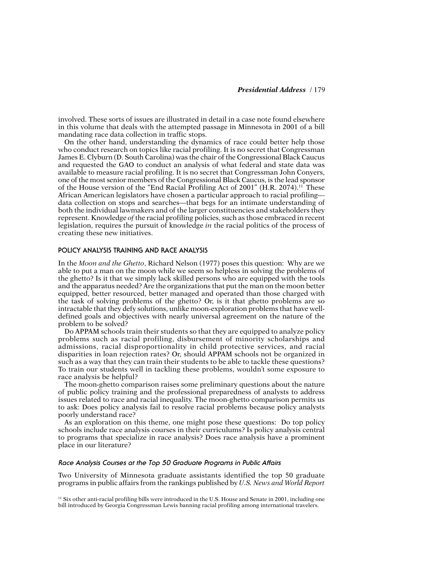involved. These sorts of issues are illustrated in detail in a case note found elsewhere in this volume that deals with the attempted passage in Minnesota in 2001 of a bill mandating race data collection in traffic stops.

On the other hand, understanding the dynamics of race could better help those who conduct research on topics like racial profiling. It is no secret that Congressman James E. Clyburn (D. South Carolina) was the chair of the Congressional Black Caucus and requested the GAO to conduct an analysis of what federal and state data was available to measure racial profiling. It is no secret that Congressman John Conyers, one of the most senior members of the Congressional Black Caucus, is the lead sponsor of the House version of the "End Racial Profiling Act of 2001" (H.R. 2074).11 These African American legislators have chosen a particular approach to racial profiling data collection on stops and searches—that begs for an intimate understanding of both the individual lawmakers and of the larger constituencies and stakeholders they represent. Knowledge *of* the racial profiling policies, such as those embraced in recent legislation, requires the pursuit of knowledge *in* the racial politics of the process of creating these new initiatives.

#### **POLICY ANALYSIS TRAINING AND RACE ANALYSIS**

In the *Moon and the Ghetto*, Richard Nelson (1977) poses this question: Why are we able to put a man on the moon while we seem so helpless in solving the problems of the ghetto? Is it that we simply lack skilled persons who are equipped with the tools and the apparatus needed? Are the organizations that put the man on the moon better equipped, better resourced, better managed and operated than those charged with the task of solving problems of the ghetto? Or, is it that ghetto problems are so intractable that they defy solutions, unlike moon-exploration problems that have welldefined goals and objectives with nearly universal agreement on the nature of the problem to be solved?

Do APPAM schools train their students so that they are equipped to analyze policy problems such as racial profiling, disbursement of minority scholarships and admissions, racial disproportionality in child protective services, and racial disparities in loan rejection rates? Or, should APPAM schools not be organized in such as a way that they can train their students to be able to tackle these questions? To train our students well in tackling these problems, wouldn't some exposure to race analysis be helpful?

The moon-ghetto comparison raises some preliminary questions about the nature of public policy training and the professional preparedness of analysts to address issues related to race and racial inequality. The moon-ghetto comparison permits us to ask: Does policy analysis fail to resolve racial problems because policy analysts poorly understand race?

As an exploration on this theme, one might pose these questions: Do top policy schools include race analysis courses in their curriculums? Is policy analysis central to programs that specialize in race analysis? Does race analysis have a prominent place in our literature?

#### **Race Analysis Courses at the Top 50 Graduate Programs in Public Affairs**

Two University of Minnesota graduate assistants identified the top 50 graduate programs in public affairs from the rankings published by *U.S. News and World Report*

11 Six other anti-racial profiling bills were introduced in the U.S. House and Senate in 2001, including one bill introduced by Georgia Congressman Lewis banning racial profiling among international travelers.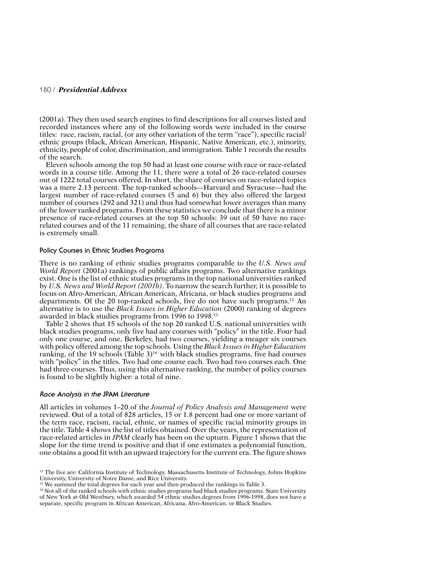(2001a). They then used search engines to find descriptions for all courses listed and recorded instances where any of the following words were included in the course titles: race, racism, racial, (or any other variation of the term "race"), specific racial/ ethnic groups (black, African American, Hispanic, Native American, etc.), minority, ethnicity, people of color, discrimination, and immigration. Table 1 records the results of the search.

Eleven schools among the top 50 had at least one course with race or race-related words in a course title. Among the 11, there were a total of 26 race-related courses out of 1222 total courses offered. In short, the share of courses on race-related topics was a mere 2.13 percent. The top-ranked schools—Harvard and Syracuse—had the largest number of race-related courses (5 and 6) but they also offered the largest number of courses (292 and 321) and thus had somewhat lower averages than many of the lower ranked programs. From these statistics we conclude that there is a minor presence of race-related courses at the top 50 schools: 39 out of 50 have no racerelated courses and of the 11 remaining, the share of all courses that are race-related is extremely small.

#### **Policy Courses in Ethnic Studies Programs**

There is no ranking of ethnic studies programs comparable to the *U.S. News and World Report* (2001a) rankings of public affairs programs. Two alternative rankings exist. One is the list of ethnic studies programs in the top national universities ranked by *U.S. News and World Report (2001b)*. To narrow the search further, it is possible to focus on Afro-American, African American, Africana, or black studies programs and departments. Of the 20 top-ranked schools, five do not have such programs.12 An alternative is to use the *Black Issues in Higher Education* (2000) ranking of degrees awarded in black studies programs from 1996 to 1998.13

Table 2 shows that 15 schools of the top 20 ranked U.S. national universities with black studies programs, only five had any courses with "policy" in the title. Four had only one course, and one, Berkeley, had two courses, yielding a meager six courses with policy offered among the top schools. Using the *Black Issues in Higher Education* ranking, of the 19 schools (Table  $3$ )<sup>14</sup> with black studies programs, five had courses with "policy" in the titles. Two had one course each. Two had two courses each. One had three courses. Thus, using this alternative ranking, the number of policy courses is found to be slightly higher: a total of nine.

#### **Race Analysis in the JPAM Literature**

All articles in volumes 1–20 of the *Journal of Policy Analysis and Management* were reviewed. Out of a total of 828 articles, 15 or 1.8 percent had one or more variant of the term race, racism, racial, ethnic, or names of specific racial minority groups in the title. Table 4 shows the list of titles obtained. Over the years, the representation of race-related articles in *JPAM* clearly has been on the upturn. Figure 1 shows that the slope for the time trend is positive and that if one estimates a polynomial function, one obtains a good fit with an upward trajectory for the current era. The figure shows

<sup>12</sup> The five are: California Institute of Technology, Massachusetts Institute of Technology, Johns Hopkins University, University of Notre Dame, and Rice University.

<sup>&</sup>lt;sup>13</sup> We summed the total degrees for each year and then produced the rankings in Table 3.

<sup>14</sup> Not all of the ranked schools with ethnic studies programs had black studies programs. State University of New York at Old Westbury, which awarded 54 ethnic studies degrees from 1996-1998, does not have a separate, specific program in African American, Africana, Afro-American, or Black Studies.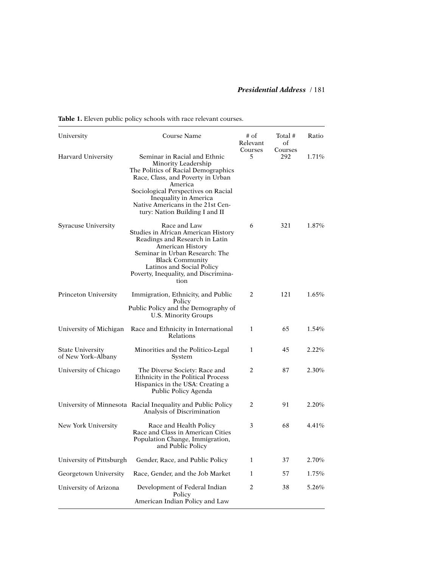| University                                    | Course Name                                                                                                                                                                                                                                                                       | $#$ of<br>Relevant<br>Courses | Total #<br>of<br>Courses | Ratio    |
|-----------------------------------------------|-----------------------------------------------------------------------------------------------------------------------------------------------------------------------------------------------------------------------------------------------------------------------------------|-------------------------------|--------------------------|----------|
| Harvard University                            | Seminar in Racial and Ethnic<br>Minority Leadership<br>The Politics of Racial Demographics<br>Race, Class, and Poverty in Urban<br>America<br>Sociological Perspectives on Racial<br>Inequality in America<br>Native Americans in the 21st Cen-<br>tury: Nation Building I and II | 5                             | 292                      | $1.71\%$ |
| <b>Syracuse University</b>                    | Race and Law<br>Studies in African American History<br>Readings and Research in Latin<br>American History<br>Seminar in Urban Research: The<br><b>Black Community</b><br>Latinos and Social Policy<br>Poverty, Inequality, and Discrimina-<br>tion                                | 6                             | 321                      | 1.87%    |
| Princeton University                          | Immigration, Ethnicity, and Public<br>Policy<br>Public Policy and the Demography of<br><b>U.S. Minority Groups</b>                                                                                                                                                                | 2                             | 121                      | 1.65%    |
| University of Michigan                        | Race and Ethnicity in International<br>Relations                                                                                                                                                                                                                                  | 1                             | 65                       | 1.54%    |
| <b>State University</b><br>of New York-Albany | Minorities and the Politico-Legal<br>System                                                                                                                                                                                                                                       | 1                             | 45                       | 2.22%    |
| University of Chicago                         | The Diverse Society: Race and<br>Ethnicity in the Political Process<br>Hispanics in the USA: Creating a<br>Public Policy Agenda                                                                                                                                                   | 2                             | 87                       | 2.30%    |
|                                               | University of Minnesota Racial Inequality and Public Policy<br>Analysis of Discrimination                                                                                                                                                                                         | 2                             | 91                       | 2.20%    |
| New York University                           | Race and Health Policy<br>Race and Class in American Cities<br>Population Change, Immigration,<br>and Public Policy                                                                                                                                                               | 3                             | 68                       | 4.41%    |
| University of Pittsburgh                      | Gender, Race, and Public Policy                                                                                                                                                                                                                                                   | 1                             | 37                       | 2.70%    |
| Georgetown University                         | Race, Gender, and the Job Market                                                                                                                                                                                                                                                  | 1                             | 57                       | 1.75%    |
| University of Arizona                         | Development of Federal Indian<br>Policy<br>American Indian Policy and Law                                                                                                                                                                                                         | 2                             | 38                       | 5.26%    |

# **Table 1.** Eleven public policy schools with race relevant courses.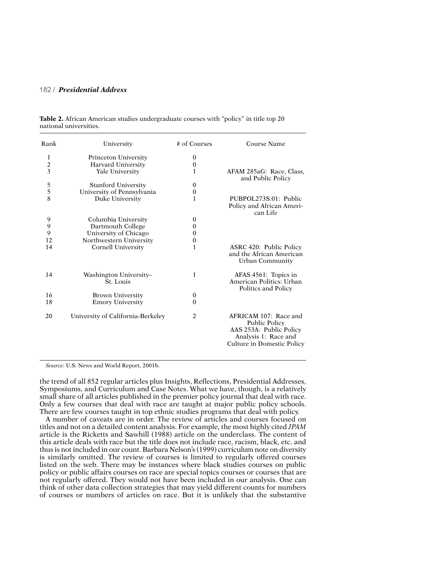**Table 2.** African American studies undergraduate courses with "policy" in title top 20 national universities.

| Rank               | University                                                                  | # of Courses           | Course Name                                                                                                             |
|--------------------|-----------------------------------------------------------------------------|------------------------|-------------------------------------------------------------------------------------------------------------------------|
| 1<br>$\frac{2}{3}$ | Princeton University<br>Harvard University<br>Yale University               | $\mathbf{0}$<br>0<br>1 | AFAM 285aG: Race, Class,<br>and Public Policy                                                                           |
| 5<br>5<br>8        | <b>Stanford University</b><br>University of Pennsylvania<br>Duke University | $\bf{0}$<br>0<br>1     | PUBPOL273S.01: Public                                                                                                   |
| 9                  | Columbia University                                                         | 0                      | Policy and African Ameri-<br>can Life                                                                                   |
| 9                  | Dartmouth College                                                           | 0                      |                                                                                                                         |
| 9                  | University of Chicago                                                       | $\mathbf{0}$           |                                                                                                                         |
| 12                 | Northwestern University                                                     | $\mathbf{0}$           |                                                                                                                         |
| 14                 | Cornell University                                                          | 1                      | ASRC 420: Public Policy<br>and the African American<br>Urban Community                                                  |
| 14                 | Washington University-<br>St. Louis                                         | 1                      | AFAS 4561: Topics in<br>American Politics: Urban<br>Politics and Policy                                                 |
| 16                 | <b>Brown University</b>                                                     | $\bf{0}$               |                                                                                                                         |
| 18                 | <b>Emory University</b>                                                     | $\Omega$               |                                                                                                                         |
| 20                 | University of California-Berkeley                                           | 2                      | AFRICAM 107: Race and<br>Public Policy<br>AAS 253A: Public Policy<br>Analysis 1: Race and<br>Culture in Domestic Policy |

*Source*: U.S. News and World Report, 2001b.

the trend of all 852 regular articles plus Insights, Reflections, Presidential Addresses, Symposiums, and Curriculum and Case Notes. What we have, though, is a relatively small share of all articles published in the premier policy journal that deal with race. Only a few courses that deal with race are taught at major public policy schools. There are few courses taught in top ethnic studies programs that deal with policy.

A number of caveats are in order. The review of articles and courses focused on titles and not on a detailed content analysis. For example, the most highly cited *JPAM* article is the Ricketts and Sawhill (1988) article on the underclass. The content of this article deals with race but the title does not include race, racism, black, etc. and thus is not included in our count. Barbara Nelson's (1999) curriculum note on diversity is similarly omitted. The review of courses is limited to regularly offered courses listed on the web. There may be instances where black studies courses on public policy or public affairs courses on race are special topics courses or courses that are not regularly offered. They would not have been included in our analysis. One can think of other data collection strategies that may yield different counts for numbers of courses or numbers of articles on race. But it is unlikely that the substantive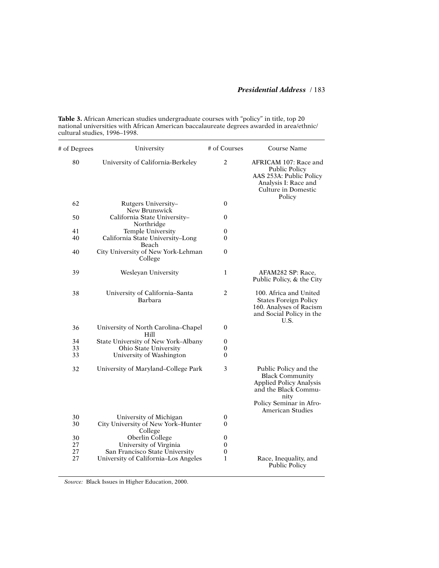| # of Degrees | University                                    | # of Courses     | Course Name                                                                                                                                               |
|--------------|-----------------------------------------------|------------------|-----------------------------------------------------------------------------------------------------------------------------------------------------------|
| 80           | University of California-Berkeley             | 2                | AFRICAM 107: Race and<br><b>Public Policy</b><br>AAS 253A: Public Policy<br>Analysis I: Race and<br>Culture in Domestic<br>Policy                         |
| 62           | Rutgers University-<br>New Brunswick          | $\mathbf{0}$     |                                                                                                                                                           |
| 50           | California State University-<br>Northridge    | $\Omega$         |                                                                                                                                                           |
| 41           | Temple University                             | 0                |                                                                                                                                                           |
| 40           | California State University-Long<br>Beach     | 0                |                                                                                                                                                           |
| 40           | City University of New York-Lehman<br>College | $\mathbf{0}$     |                                                                                                                                                           |
| 39           | Wesleyan University                           | $\mathbf{1}$     | AFAM282 SP: Race,<br>Public Policy, & the City                                                                                                            |
| 38           | University of California-Santa<br>Barbara     | 2                | 100. Africa and United<br><b>States Foreign Policy</b><br>160. Analyses of Racism<br>and Social Policy in the<br>U.S.                                     |
| 36           | University of North Carolina-Chapel<br>Hill   | 0                |                                                                                                                                                           |
| 34           | State University of New York-Albany           | $\mathbf{0}$     |                                                                                                                                                           |
| 33           | Ohio State University                         | 0                |                                                                                                                                                           |
| 33           | University of Washington                      | $\Omega$         |                                                                                                                                                           |
| 32           | University of Maryland–College Park           | 3                | Public Policy and the<br><b>Black Community</b><br>Applied Policy Analysis<br>and the Black Commu-<br>nity<br>Policy Seminar in Afro-<br>American Studies |
| 30           | University of Michigan                        | 0                |                                                                                                                                                           |
| 30           | City University of New York-Hunter<br>College | 0                |                                                                                                                                                           |
| 30           | Oberlin College                               | $\mathbf{0}$     |                                                                                                                                                           |
| 27           | University of Virginia                        | $\mathbf{0}$     |                                                                                                                                                           |
| 27           | San Francisco State University                | $\boldsymbol{0}$ |                                                                                                                                                           |
| 27           | University of California-Los Angeles          | 1                | Race, Inequality, and<br>Public Policy                                                                                                                    |

**Table 3.** African American studies undergraduate courses with "policy" in title, top 20 national universities with African American baccalaureate degrees awarded in area/ethnic/ cultural studies, 1996–1998.

*Source:* Black Issues in Higher Education, 2000.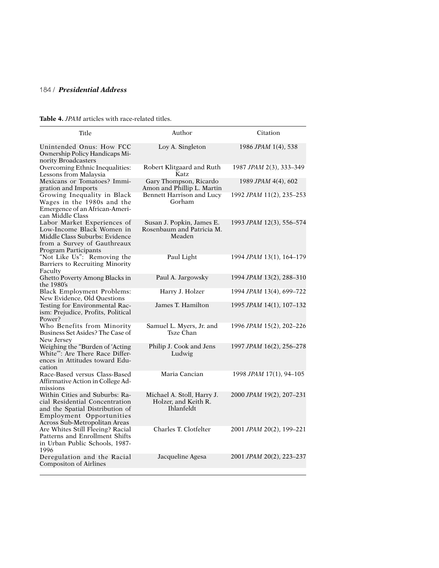| <b>Table 4.</b> <i>JPAM</i> articles with race-related titles. |  |
|----------------------------------------------------------------|--|
|----------------------------------------------------------------|--|

| Title                                                                                                                                                            | Author                                                                  | Citation                 |
|------------------------------------------------------------------------------------------------------------------------------------------------------------------|-------------------------------------------------------------------------|--------------------------|
| Unintended Onus: How FCC<br>Ownership Policy Handicaps Mi-<br>nority Broadcasters                                                                                | Loy A. Singleton                                                        | 1986 JPAM 1(4), 538      |
| Overcoming Ethnic Inequalities:<br>Lessons from Malaysia                                                                                                         | Robert Klitgaard and Ruth<br>Katz                                       | 1987 JPAM 2(3), 333–349  |
| Mexicans or Tomatoes? Immi-<br>gration and Imports                                                                                                               | Gary Thompson, Ricardo<br>Amon and Phillip L. Martin                    | 1989 JPAM 4(4), 602      |
| Growing Inequality in Black<br>Wages in the 1980s and the<br>Emergence of an African-Ameri-<br>can Middle Class                                                  | Bennett Harrison and Lucy<br>Gorham                                     | 1992 JPAM 11(2), 235–253 |
| Labor Market Experiences of<br>Low-Income Black Women in<br>Middle Class Suburbs: Evidence<br>from a Survey of Gauthreaux<br>Program Participants                | Susan J. Popkin, James E.<br>Rosenbaum and Patricia M.<br>Meaden        | 1993 JPAM 12(3), 556-574 |
| "Not Like Us": Removing the<br>Barriers to Recruiting Minority<br>Faculty                                                                                        | Paul Light                                                              | 1994 JPAM 13(1), 164-179 |
| Ghetto Poverty Among Blacks in<br>the 1980's                                                                                                                     | Paul A. Jargowsky                                                       | 1994 JPAM 13(2), 288-310 |
| <b>Black Employment Problems:</b><br>New Evidence, Old Questions                                                                                                 | Harry J. Holzer                                                         | 1994 JPAM 13(4), 699-722 |
| Testing for Environmental Rac-<br>ism: Prejudice, Profits, Political<br>Power?                                                                                   | James T. Hamilton                                                       | 1995 JPAM 14(1), 107-132 |
| Who Benefits from Minority<br>Business Set Asides? The Case of<br>New Jersey                                                                                     | Samuel L. Myers, Jr. and<br>Tsze Chan                                   | 1996 JPAM 15(2), 202–226 |
| Weighing the "Burden of 'Acting<br>White": Are There Race Differ-<br>ences in Attitudes toward Edu-<br>cation                                                    | Philip J. Cook and Jens<br>Ludwig                                       | 1997 JPAM 16(2), 256-278 |
| Race-Based versus Class-Based<br>Affirmative Action in College Ad-<br>missions                                                                                   | Maria Cancian                                                           | 1998 JPAM 17(1), 94-105  |
| Within Cities and Suburbs: Ra-<br>cial Residential Concentration<br>and the Spatial Distribution of<br>Employment Opportunities<br>Across Sub-Metropolitan Areas | Michael A. Stoll, Harry J.<br>Holzer, and Keith R.<br><b>Ihlanfeldt</b> | 2000 JPAM 19(2), 207-231 |
| Are Whites Still Fleeing? Racial<br>Patterns and Enrollment Shifts<br>in Urban Public Schools, 1987-<br>1996                                                     | Charles T. Clotfelter                                                   | 2001 JPAM 20(2), 199-221 |
| Deregulation and the Racial<br><b>Compositon of Airlines</b>                                                                                                     | Jacqueline Agesa                                                        | 2001 JPAM 20(2), 223–237 |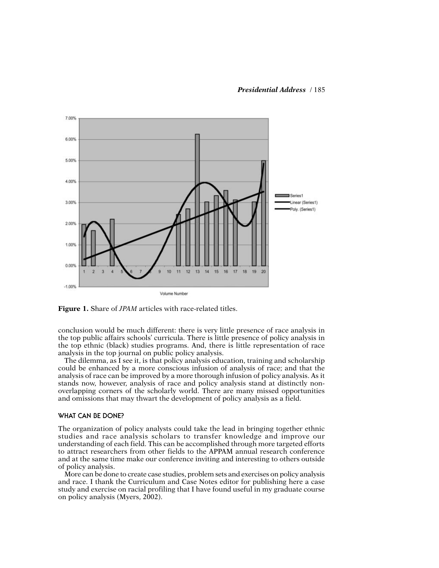*Presidential Address* / 185



**Figure 1.** Share of *JPAM* articles with race-related titles.

conclusion would be much different: there is very little presence of race analysis in the top public affairs schools' curricula. There is little presence of policy analysis in the top ethnic (black) studies programs. And, there is little representation of race analysis in the top journal on public policy analysis.

The dilemma, as I see it, is that policy analysis education, training and scholarship could be enhanced by a more conscious infusion of analysis of race; and that the analysis of race can be improved by a more thorough infusion of policy analysis. As it stands now, however, analysis of race and policy analysis stand at distinctly nonoverlapping corners of the scholarly world. There are many missed opportunities and omissions that may thwart the development of policy analysis as a field.

#### **WHAT CAN BE DONE?**

The organization of policy analysts could take the lead in bringing together ethnic studies and race analysis scholars to transfer knowledge and improve our understanding of each field. This can be accomplished through more targeted efforts to attract researchers from other fields to the APPAM annual research conference and at the same time make our conference inviting and interesting to others outside of policy analysis.

More can be done to create case studies, problem sets and exercises on policy analysis and race. I thank the Curriculum and Case Notes editor for publishing here a case study and exercise on racial profiling that I have found useful in my graduate course on policy analysis (Myers, 2002).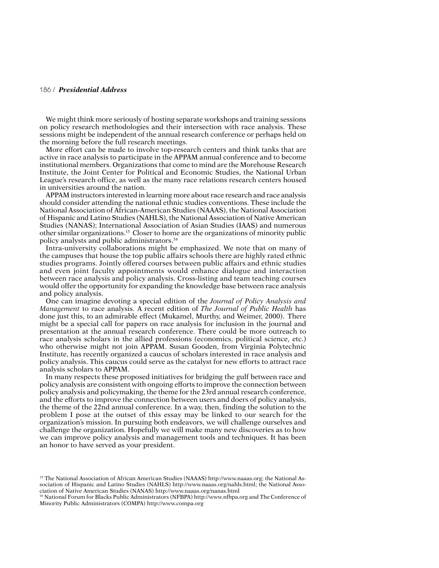We might think more seriously of hosting separate workshops and training sessions on policy research methodologies and their intersection with race analysis. These sessions might be independent of the annual research conference or perhaps held on the morning before the full research meetings.

More effort can be made to involve top-research centers and think tanks that are active in race analysis to participate in the APPAM annual conference and to become institutional members. Organizations that come to mind are the Morehouse Research Institute, the Joint Center for Political and Economic Studies, the National Urban League's research office, as well as the many race relations research centers housed in universities around the nation.

APPAM instructors interested in learning more about race research and race analysis should consider attending the national ethnic studies conventions. These include the National Association of African-American Studies (NAAAS), the National Association of Hispanic and Latino Studies (NAHLS), the National Association of Native American Studies (NANAS); International Association of Asian Studies (IAAS) and numerous other similar organizations.15 Closer to home are the organizations of minority public policy analysts and public administrators.16

Intra-university collaborations might be emphasized. We note that on many of the campuses that house the top public affairs schools there are highly rated ethnic studies programs. Jointly offered courses between public affairs and ethnic studies and even joint faculty appointments would enhance dialogue and interaction between race analysis and policy analysis. Cross-listing and team teaching courses would offer the opportunity for expanding the knowledge base between race analysis and policy analysis.

One can imagine devoting a special edition of the *Journal of Policy Analysis and Management* to race analysis. A recent edition of *The Journal of Public Health* has done just this, to an admirable effect (Mukamel, Murthy, and Weimer, 2000). There might be a special call for papers on race analysis for inclusion in the journal and presentation at the annual research conference. There could be more outreach to race analysis scholars in the allied professions (economics, political science, etc.) who otherwise might not join APPAM. Susan Gooden, from Virginia Polytechnic Institute, has recently organized a caucus of scholars interested in race analysis and policy analysis. This caucus could serve as the catalyst for new efforts to attract race analysis scholars to APPAM.

In many respects these proposed initiatives for bridging the gulf between race and policy analysis are consistent with ongoing efforts to improve the connection between policy analysis and policymaking, the theme for the 23rd annual research conference, and the efforts to improve the connection between users and doers of policy analysis, the theme of the 22nd annual conference. In a way, then, finding the solution to the problem I pose at the outset of this essay may be linked to our search for the organization's mission. In pursuing both endeavors, we will challenge ourselves and challenge the organization. Hopefully we will make many new discoveries as to how we can improve policy analysis and management tools and techniques. It has been an honor to have served as your president.

<sup>15</sup> The National Association of African American Studies (NAAAS) http://www.naaas.org; the National Association of Hispanic and Latino Studies (NAHLS) http://www.naaas.org/nahls.html; the National Association of Native American Studies (NANAS) http://www.naaas.org/nanas.html

<sup>16</sup> National Forum for Blacks Public Administrators (NFBPA) http://www.nfbpa.org and The Conference of Minority Public Administrators (COMPA) http://www.compa.org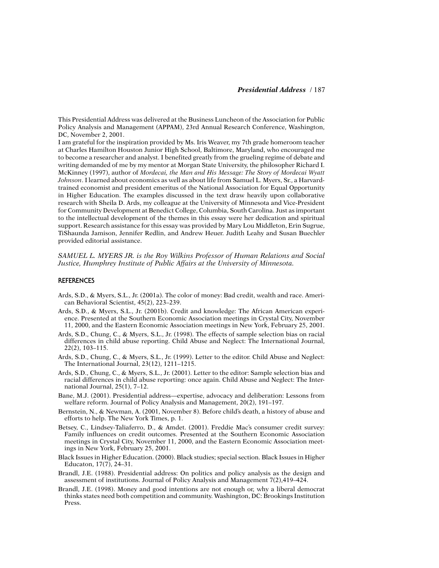This Presidential Address was delivered at the Business Luncheon of the Association for Public Policy Analysis and Management (APPAM), 23rd Annual Research Conference, Washington, DC, November 2, 2001.

I am grateful for the inspiration provided by Ms. Iris Weaver, my 7th grade homeroom teacher at Charles Hamilton Houston Junior High School, Baltimore, Maryland, who encouraged me to become a researcher and analyst. I benefited greatly from the grueling regime of debate and writing demanded of me by my mentor at Morgan State University, the philosopher Richard I. McKinney (1997), author of *Mordecai, the Man and His Message: The Story of Mordecai Wyatt Johnson*. I learned about economics as well as about life from Samuel L. Myers, Sr., a Harvardtrained economist and president emeritus of the National Association for Equal Opportunity in Higher Education. The examples discussed in the text draw heavily upon collaborative research with Sheila D. Ards, my colleague at the University of Minnesota and Vice-President for Community Development at Benedict College, Columbia, South Carolina. Just as important to the intellectual development of the themes in this essay were her dedication and spiritual support. Research assistance for this essay was provided by Mary Lou Middleton, Erin Sugrue, TiShaunda Jamison, Jennifer Redlin, and Andrew Heuer. Judith Leahy and Susan Buechler provided editorial assistance.

*SAMUEL L. MYERS JR. is the Roy Wilkins Professor of Human Relations and Social Justice, Humphrey Institute of Public Affairs at the University of Minnesota.*

#### **REFERENCES**

- Ards, S.D., & Myers, S.L., Jr. (2001a). The color of money: Bad credit, wealth and race. American Behavioral Scientist, 45(2), 223–239.
- Ards, S.D., & Myers, S.L., Jr. (2001b). Credit and knowledge: The African American experience. Presented at the Southern Economic Association meetings in Crystal City, November 11, 2000, and the Eastern Economic Association meetings in New York, February 25, 2001.
- Ards, S.D., Chung, C., & Myers, S.L., Jr. (1998). The effects of sample selection bias on racial differences in child abuse reporting. Child Abuse and Neglect: The International Journal, 22(2), 103–115.
- Ards, S.D., Chung, C., & Myers, S.L., Jr. (1999). Letter to the editor. Child Abuse and Neglect: The International Journal, 23(12), 1211–1215.
- Ards, S.D., Chung, C., & Myers, S.L., Jr. (2001). Letter to the editor: Sample selection bias and racial differences in child abuse reporting: once again. Child Abuse and Neglect: The International Journal, 25(1), 7–12.
- Bane, M.J. (2001). Presidential address—expertise, advocacy and deliberation: Lessons from welfare reform. Journal of Policy Analysis and Management, 20(2), 191–197.
- Bernstein, N., & Newman, A. (2001, November 8). Before child's death, a history of abuse and efforts to help. The New York Times, p. 1.
- Betsey, C., Lindsey-Taliaferro, D., & Amdet. (2001). Freddie Mac's consumer credit survey: Family influences on credit outcomes. Presented at the Southern Economic Association meetings in Crystal City, November 11, 2000, and the Eastern Economic Association meetings in New York, February 25, 2001.
- Black Issues in Higher Education. (2000). Black studies; special section. Black Issues in Higher Educaton, 17(7), 24–31.
- Brandl, J.E. (1988). Presidential address: On politics and policy analysis as the design and assessment of institutions. Journal of Policy Analysis and Management 7(2),419–424.
- Brandl, J.E. (1998). Money and good intentions are not enough or, why a liberal democrat thinks states need both competition and community. Washington, DC: Brookings Institution Press.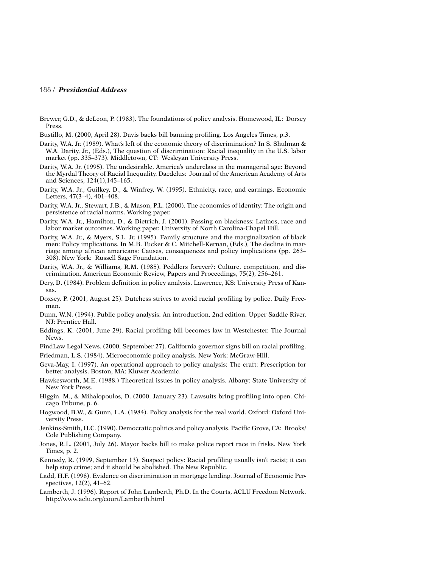- Brewer, G.D., & deLeon, P. (1983). The foundations of policy analysis. Homewood, IL: Dorsey Press.
- Bustillo, M. (2000, April 28). Davis backs bill banning profiling. Los Angeles Times, p.3.
- Darity, W.A. Jr. (1989). What's left of the economic theory of discrimination? In S. Shulman & W.A. Darity, Jr., (Eds.), The question of discrimination: Racial inequality in the U.S. labor market (pp. 335–373). Middletown, CT: Wesleyan University Press.
- Darity, W.A. Jr. (1995). The undesirable, America's underclass in the managerial age: Beyond the Myrdal Theory of Racial Inequality. Daedelus: Journal of the American Academy of Arts and Sciences, 124(1),145–165.
- Darity, W.A. Jr., Guilkey, D., & Winfrey, W. (1995). Ethnicity, race, and earnings. Economic Letters, 47(3–4), 401–408.
- Darity, W.A. Jr., Stewart, J.B., & Mason, P.L. (2000). The economics of identity: The origin and persistence of racial norms. Working paper.
- Darity, W.A. Jr., Hamilton, D., & Dietrich, J. (2001). Passing on blackness: Latinos, race and labor market outcomes. Working paper. University of North Carolina-Chapel Hill.
- Darity, W.A. Jr., & Myers, S.L. Jr. (1995). Family structure and the marginalization of black men: Policy implications. In M.B. Tucker & C. Mitchell-Kernan, (Eds.), The decline in marriage among african americans: Causes, consequences and policy implications (pp. 263– 308). New York: Russell Sage Foundation.
- Darity, W.A. Jr., & Williams, R.M. (1985). Peddlers forever?: Culture, competition, and discrimination. American Economic Review, Papers and Proceedings, 75(2), 256–261.
- Dery, D. (1984). Problem definition in policy analysis. Lawrence, KS: University Press of Kansas.
- Doxsey, P. (2001, August 25). Dutchess strives to avoid racial profiling by police. Daily Freeman.
- Dunn, W.N. (1994). Public policy analysis: An introduction, 2nd edition. Upper Saddle River, NJ: Prentice Hall.
- Eddings, K. (2001, June 29). Racial profiling bill becomes law in Westchester. The Journal News.
- FindLaw Legal News. (2000, September 27). California governor signs bill on racial profiling.
- Friedman, L.S. (1984). Microeconomic policy analysis. New York: McGraw-Hill.
- Geva-May, I. (1997). An operational approach to policy analysis: The craft: Prescription for better analysis. Boston, MA: Kluwer Academic.
- Hawkesworth, M.E. (1988.) Theoretical issues in policy analysis. Albany: State University of New York Press.
- Higgin, M., & Mihalopoulos, D. (2000, January 23). Lawsuits bring profiling into open. Chicago Tribune, p. 6.
- Hogwood, B.W., & Gunn, L.A. (1984). Policy analysis for the real world. Oxford: Oxford University Press.
- Jenkins-Smith, H.C. (1990). Democratic politics and policy analysis. Pacific Grove, CA: Brooks/ Cole Publishing Company.
- Jones, R.L. (2001, July 26). Mayor backs bill to make police report race in frisks. New York Times, p. 2.
- Kennedy, R. (1999, September 13). Suspect policy: Racial profiling usually isn't racist; it can help stop crime; and it should be abolished. The New Republic.
- Ladd, H.F. (1998). Evidence on discrimination in mortgage lending. Journal of Economic Perspectives, 12(2), 41–62.
- Lamberth, J. (1996). Report of John Lamberth, Ph.D. In the Courts, ACLU Freedom Network. http://www.aclu.org/court/Lamberth.html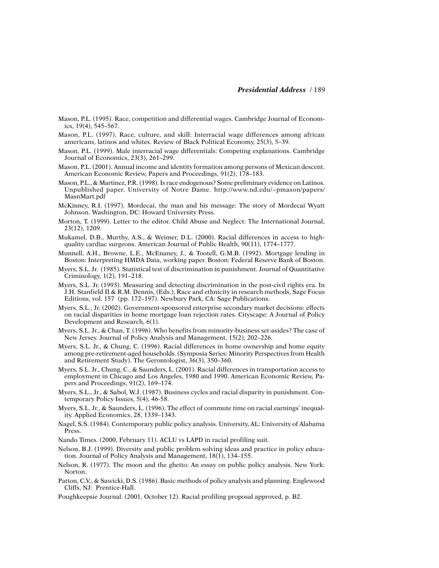- Mason, P.L. (1995). Race, competition and differential wages. Cambridge Journal of Economics, 19(4), 545–567.
- Mason, P.L. (1997). Race, culture, and skill: Interracial wage differences among african americans, latinos and whites. Review of Black Political Economy, 25(3), 5–39.
- Mason, P.L. (1999). Male interracial wage differentials: Competing explanations. Cambridge Journal of Economics, 23(3), 261–299.
- Mason, P.L. (2001). Annual income and identity formation among persons of Mexican descent. American Economic Review, Papers and Proceedings, 91(2), 178–183.
- Mason, P.L., & Martinez, P.R. (1998). Is race endogenous? Some preliminary evidence on Latinos. Unpublished paper. University of Notre Dame. http://www.nd.edu/~pmason/papers/ MasnMart.pdf
- McKinney, R.I. (1997). Mordecai, the man and his message: The story of Mordecai Wyatt Johnson. Washington, DC: Howard University Press.
- Morton, T. (1999). Letter to the editor. Child Abuse and Neglect: The International Journal, 23(12), 1209.
- Mukamel, D.B., Murthy, A.S., & Weimer, D.L. (2000). Racial differences in access to highquality cardiac surgeons. American Journal of Public Health, 90(11), 1774–1777.
- Munnell, A.H., Browne, L.E., McEnaney, J., & Tootell, G.M.B. (1992). Mortgage lending in Boston: Interpreting HMDA Data, working paper. Boston: Federal Reserve Bank of Boston.
- Myers, S.L. Jr. (1985). Statistical test of discrimination in punishment. Journal of Quantitative Criminology, 1(2), 191–218.
- Myers, S.L. Jr. (1993). Measuring and detecting discrimination in the post-civil rights era. In J.H. Stanfield II & R.M. Dennis, (Eds.), Race and ethnicity in research methods, Sage Focus Editions, vol. 157 (pp. 172–197). Newbury Park, CA: Sage Publications.
- Myers, S.L., Jr. (2002). Government-sponsored enterprise secondary market decisions: effects on racial disparities in home mortgage loan rejection rates. Cityscape: A Journal of Policy Development and Research, 6(1).
- Myers, S.L. Jr., & Chan, T. (1996). Who benefits from minority-business set-asides? The case of New Jersey. Journal of Policy Analysis and Management, 15(2), 202–226.
- Myers, S.L. Jr., & Chung, C. (1996). Racial differences in home ownership and home equity among pre-retirement-aged households. (Symposia Series: Minority Perspectives from Health and Retirement Study). The Gerontologist, 36(3), 350–360.
- Myers, S.L. Jr., Chung, C., & Saunders, L. (2001). Racial differences in transportation access to employment in Chicago and Los Angeles, 1980 and 1990. American Economic Review, Papers and Proceedings, 91(2), 169–174.
- Myers, S.L., Jr., & Sabol, W.J. (1987). Business cycles and racial disparity in punishment. Contemporary Policy Issues, 5(4), 46-58.
- Myers, S.L. Jr., & Saunders, L. (1996). The effect of commute time on racial earnings' inequality. Applied Economics, 28, 1339–1343.
- Nagel, S.S. (1984). Contemporary public policy analysis. University, AL: University of Alabama Press.
- Nando Times. (2000, February 11). ACLU vs LAPD in racial profiling suit.
- Nelson, B.J. (1999). Diversity and public problem solving ideas and practice in policy education. Journal of Policy Analysis and Management, 18(1), 134–155.
- Nelson, R. (1977). The moon and the ghetto: An essay on public policy analysis. New York: Norton.
- Patton, C.V., & Sawicki, D.S. (1986). Basic methods of policy analysis and planning. Englewood Cliffs, NJ: Prentice-Hall.
- Poughkeepsie Journal. (2001, October 12). Racial profiling proposal approved, p. B2.